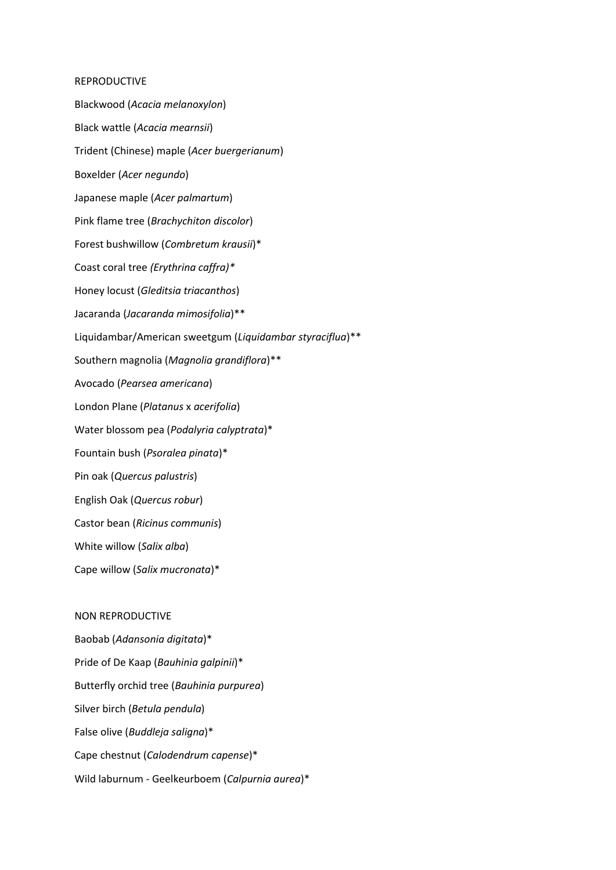## REPRODUCTIVE

Blackwood (*Acacia melanoxylon*) Black wattle (*Acacia mearnsii*) Trident (Chinese) maple (*Acer buergerianum*) Boxelder (*Acer negundo*) Japanese maple (*Acer palmartum*) Pink flame tree (*Brachychiton discolor*) Forest bushwillow (*Combretum krausii*)\* Coast coral tree *(Erythrina caffra)\** Honey locust (*Gleditsia triacanthos*) Jacaranda (*Jacaranda mimosifolia*)\*\* Liquidambar/American sweetgum (*Liquidambar styraciflua*)\*\* Southern magnolia (*Magnolia grandiflora*)\*\* Avocado (*Pearsea americana*) London Plane (*Platanus* x *acerifolia*) Water blossom pea (*Podalyria calyptrata*)\* Fountain bush (*Psoralea pinata*)\* Pin oak (*Quercus palustris*) English Oak (*Quercus robur*) Castor bean (*Ricinus communis*) White willow (*Salix alba*) Cape willow (*Salix mucronata*)\*

## NON REPRODUCTIVE

Baobab (*Adansonia digitata*)\* Pride of De Kaap (*Bauhinia galpinii*)\* Butterfly orchid tree (*Bauhinia purpurea*) Silver birch (*Betula pendula*) False olive (*Buddleja saligna*)\* Cape chestnut (*Calodendrum capense*)\* Wild laburnum - Geelkeurboem (*Calpurnia aurea*)\*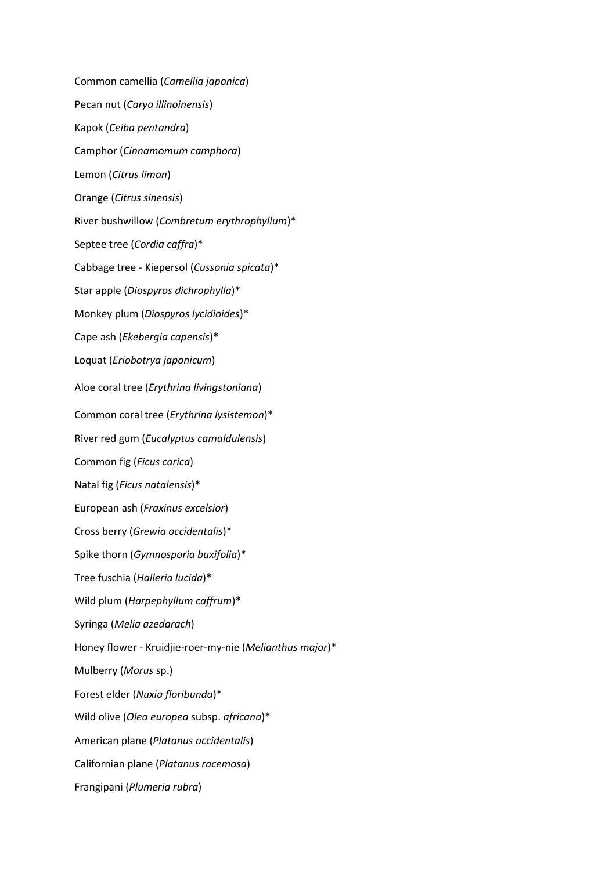Common camellia (*Camellia japonica*) Pecan nut (*Carya illinoinensis*) Kapok (*Ceiba pentandra*) Camphor (*Cinnamomum camphora*) Lemon (*Citrus limon*) Orange (*Citrus sinensis*) River bushwillow (*Combretum erythrophyllum*)\* Septee tree (*Cordia caffra*)\* Cabbage tree - Kiepersol (*Cussonia spicata*)\* Star apple (*Diospyros dichrophylla*)\* Monkey plum (*Diospyros lycidioides*)\* Cape ash (*Ekebergia capensis*)\* Loquat (*Eriobotrya japonicum*) Aloe coral tree (*Erythrina livingstoniana*) Common coral tree (*Erythrina lysistemon*)\* River red gum (*Eucalyptus camaldulensis*) Common fig (*Ficus carica*) Natal fig (*Ficus natalensis*)\* European ash (*Fraxinus excelsior*) Cross berry (*Grewia occidentalis*)\* Spike thorn (*Gymnosporia buxifolia*)\* Tree fuschia (*Halleria lucida*)\* Wild plum (*Harpephyllum caffrum*)\* Syringa (*Melia azedarach*) Honey flower - Kruidjie-roer-my-nie (*Melianthus major*)\* Mulberry (*Morus* sp.) Forest elder (*Nuxia floribunda*)\* Wild olive (*Olea europea* subsp. *africana*)\* American plane (*Platanus occidentalis*) Californian plane (*Platanus racemosa*) Frangipani (*Plumeria rubra*)